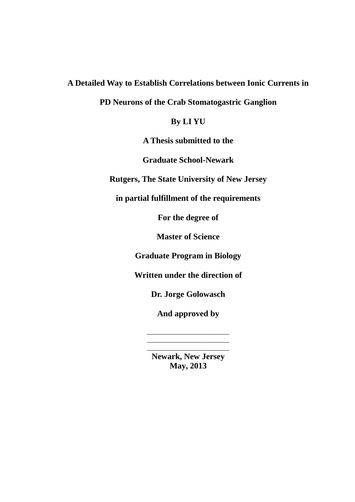**A Detailed Way to Establish Correlations between Ionic Currents in** 

**PD Neurons of the Crab Stomatogastric Ganglion**

**By LI YU**

**A Thesis submitted to the** 

**Graduate School-Newark** 

**Rutgers, The State University of New Jersey**

**in partial fulfillment of the requirements**

**For the degree of**

**Master of Science**

**Graduate Program in Biology**

**Written under the direction of**

**Dr. Jorge Golowasch**

**And approved by**

\_\_\_\_\_\_\_\_\_\_\_\_\_\_\_\_\_\_\_\_\_\_\_\_ \_\_\_\_\_\_\_\_\_\_\_\_\_\_\_\_\_\_\_\_\_\_\_\_ \_\_\_\_\_\_\_\_\_\_\_\_\_\_\_\_\_\_\_\_\_\_\_\_

**Newark, New Jersey May, 2013**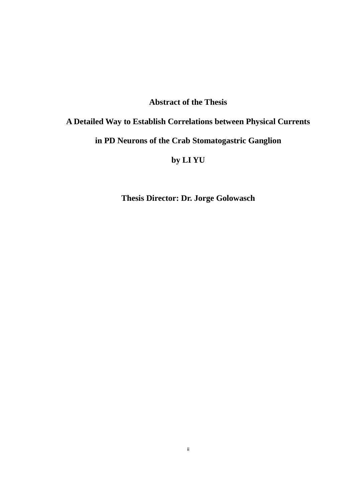# **Abstract of the Thesis**

# **A Detailed Way to Establish Correlations between Physical Currents**

# **in PD Neurons of the Crab Stomatogastric Ganglion**

# **by LI YU**

**Thesis Director: Dr. Jorge Golowasch**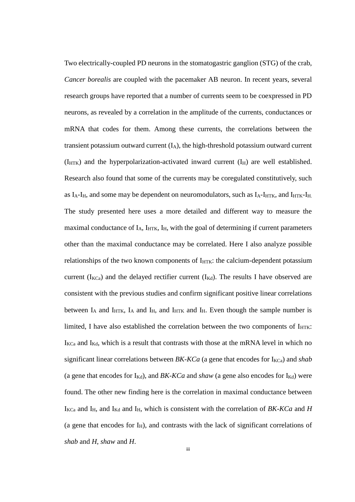Two electrically-coupled PD neurons in the stomatogastric ganglion (STG) of the crab, *Cancer borealis* are coupled with the pacemaker AB neuron. In recent years, several research groups have reported that a number of currents seem to be coexpressed in PD neurons, as revealed by a correlation in the amplitude of the currents, conductances or mRNA that codes for them. Among these currents, the correlations between the transient potassium outward current (IA), the high-threshold potassium outward current  $(I_{\text{HTK}})$  and the hyperpolarization-activated inward current  $(I_{\text{H}})$  are well established. Research also found that some of the currents may be coregulated constitutively, such as  $I_A$ - $I_H$ , and some may be dependent on neuromodulators, such as  $I_A$ - $I_{HTK}$ , and  $I_{HTK}$ - $I_H$ . The study presented here uses a more detailed and different way to measure the maximal conductance of  $I_A$ ,  $I_{HTK}$ ,  $I_H$ , with the goal of determining if current parameters other than the maximal conductance may be correlated. Here I also analyze possible relationships of the two known components of  $I_{\text{HTK}}$ : the calcium-dependent potassium current ( $I_{KCa}$ ) and the delayed rectifier current ( $I_{Kd}$ ). The results I have observed are consistent with the previous studies and confirm significant positive linear correlations between  $I_A$  and  $I_{HTK}$ ,  $I_A$  and  $I_H$ , and  $I_{HTK}$  and  $I_H$ . Even though the sample number is limited, I have also established the correlation between the two components of  $I_{\text{HTK}}$ :  $I_{\text{KCa}}$  and  $I_{\text{Kd}}$ , which is a result that contrasts with those at the mRNA level in which no significant linear correlations between *BK-KCa* (a gene that encodes for  $I_{KCa}$ ) and *shab* (a gene that encodes for  $I_{Kd}$ ), and *BK-KCa* and *shaw* (a gene also encodes for  $I_{Kd}$ ) were found. The other new finding here is the correlation in maximal conductance between I<sub>KCa</sub> and I<sub>H</sub>, and I<sub>Kd</sub> and I<sub>H</sub>, which is consistent with the correlation of *BK-KCa* and *H* (a gene that encodes for  $I_H$ ), and contrasts with the lack of significant correlations of *shab* and *H*, *shaw* and *H*.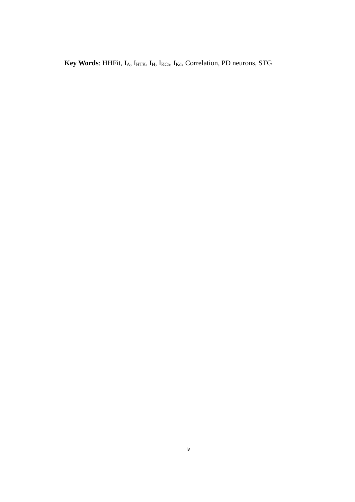Key Words: HHFit, I<sub>A</sub>, I<sub>HTK</sub>, I<sub>H</sub>, I<sub>KCa</sub>, I<sub>Kd</sub>, Correlation, PD neurons, STG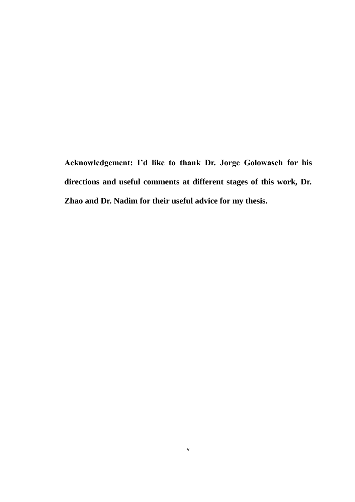**Acknowledgement: I'd like to thank Dr. Jorge Golowasch for his directions and useful comments at different stages of this work, Dr. Zhao and Dr. Nadim for their useful advice for my thesis.**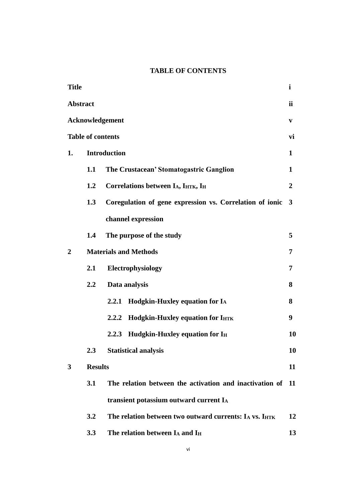# **TABLE OF CONTENTS**

| <b>Title</b>    |                          |                                                          | $\mathbf{i}$            |
|-----------------|--------------------------|----------------------------------------------------------|-------------------------|
| <b>Abstract</b> |                          |                                                          | ii                      |
|                 |                          | Acknowledgement                                          | V                       |
|                 | <b>Table of contents</b> |                                                          | vi                      |
| 1.              |                          | <b>Introduction</b>                                      | $\mathbf{1}$            |
|                 | 1.1                      | The Crustacean' Stomatogastric Ganglion                  | 1                       |
|                 | 1.2                      | Correlations between IA, IHTK, IH                        | $\overline{2}$          |
|                 | 1.3                      | Coregulation of gene expression vs. Correlation of ionic | $\overline{\mathbf{3}}$ |
|                 |                          | channel expression                                       |                         |
|                 | 1.4                      | The purpose of the study                                 | 5                       |
| $\overline{2}$  |                          | <b>Materials and Methods</b>                             | 7                       |
|                 | 2.1                      | Electrophysiology                                        | 7                       |
|                 | 2.2                      | Data analysis                                            | 8                       |
|                 |                          | 2.2.1 Hodgkin-Huxley equation for IA                     | 8                       |
|                 |                          | <b>Hodgkin-Huxley equation for IHTK</b><br>2.2.2         | 9                       |
|                 |                          | 2.2.3 Hudgkin-Huxley equation for I <sub>H</sub>         | 10                      |
|                 | 2.3                      | <b>Statistical analysis</b>                              | 10                      |
| 3               | <b>Results</b>           |                                                          | 11                      |
|                 | 3.1                      | The relation between the activation and inactivation of  | 11                      |
|                 |                          | transient potassium outward current IA                   |                         |
|                 | 3.2                      | The relation between two outward currents: IA vs. IHTK   | 12                      |
|                 | 3.3                      | The relation between $I_A$ and $I_H$                     | 13                      |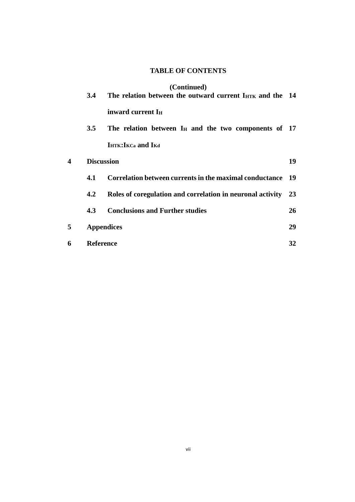# **TABLE OF CONTENTS**

# **(Continued)**

|   | 3.4               | The relation between the outward current IHTK and the 14   |    |
|---|-------------------|------------------------------------------------------------|----|
|   |                   | inward current I <sub>H</sub>                              |    |
|   | $3.5^{\circ}$     | The relation between $I_H$ and the two components of 17    |    |
|   |                   | <b>IHTK: IKCa and IKd</b>                                  |    |
| 4 | <b>Discussion</b> |                                                            | 19 |
|   | 4.1               | Correlation between currents in the maximal conductance 19 |    |
|   | $4.2^{\circ}$     | Roles of coregulation and correlation in neuronal activity | 23 |
|   | 4.3               | <b>Conclusions and Further studies</b>                     | 26 |
| 5 |                   | <b>Appendices</b>                                          | 29 |
| 6 | <b>Reference</b>  |                                                            | 32 |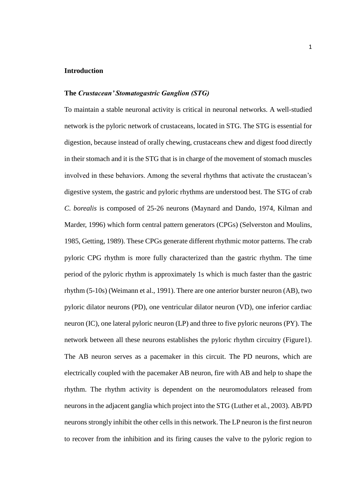### **Introduction**

## **The** *Crustacean' Stomatogastric Ganglion (STG)*

To maintain a stable neuronal activity is critical in neuronal networks. A well-studied network is the pyloric network of crustaceans, located in STG. The STG is essential for digestion, because instead of orally chewing, crustaceans chew and digest food directly in their stomach and it is the STG that is in charge of the movement of stomach muscles involved in these behaviors. Among the several rhythms that activate the crustacean's digestive system, the gastric and pyloric rhythms are understood best. The STG of crab *C. borealis* is composed of 25-26 neurons [\(Maynard and Dando, 1974,](#page-38-0) [Kilman and](#page-38-1)  [Marder, 1996\)](#page-38-1) which form central pattern generators (CPGs) [\(Selverston and Moulins,](#page-38-2)  [1985,](#page-38-2) [Getting, 1989\)](#page-37-0). These CPGs generate different rhythmic motor patterns. The crab pyloric CPG rhythm is more fully characterized than the gastric rhythm. The time period of the pyloric rhythm is approximately 1s which is much faster than the gastric rhythm (5-10s) [\(Weimann et al., 1991\)](#page-39-0). There are one anterior burster neuron (AB), two pyloric dilator neurons (PD), one ventricular dilator neuron (VD), one inferior cardiac neuron (IC), one lateral pyloric neuron (LP) and three to five pyloric neurons (PY). The network between all these neurons establishes the pyloric rhythm circuitry (Figure1). The AB neuron serves as a pacemaker in this circuit. The PD neurons, which are electrically coupled with the pacemaker AB neuron, fire with AB and help to shape the rhythm. The rhythm activity is dependent on the neuromodulators released from neurons in the adjacent ganglia which project into the STG [\(Luther et al., 2003\)](#page-38-3). AB/PD neurons strongly inhibit the other cells in this network. The LP neuron is the first neuron to recover from the inhibition and its firing causes the valve to the pyloric region to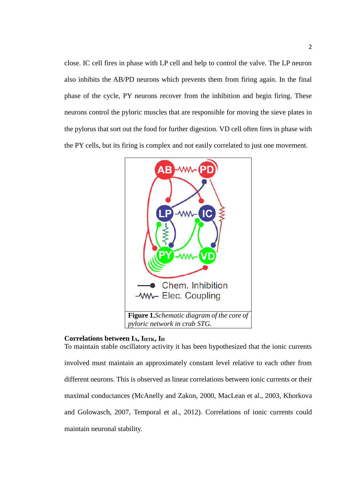close. IC cell fires in phase with LP cell and help to control the valve. The LP neuron also inhibits the AB/PD neurons which prevents them from firing again. In the final phase of the cycle, PY neurons recover from the inhibition and begin firing. These neurons control the pyloric muscles that are responsible for moving the sieve plates in the pylorus that sort out the food for further digestion. VD cell often fires in phase with the PY cells, but its firing is complex and not easily correlated to just one movement.



## **Correlations between IA, IHTK, I<sup>H</sup>**

To maintain stable oscillatory activity it has been hypothesized that the ionic currents involved must maintain an approximately constant level relative to each other from different neurons. This is observed as linear correlations between ionic currents or their maximal conductances [\(McAnelly and Zakon, 2000,](#page-38-4) [MacLean et al., 2003,](#page-38-5) [Khorkova](#page-38-6)  [and Golowasch, 2007,](#page-38-6) [Temporal et al., 2012\)](#page-38-7). Correlations of ionic currents could maintain neuronal stability.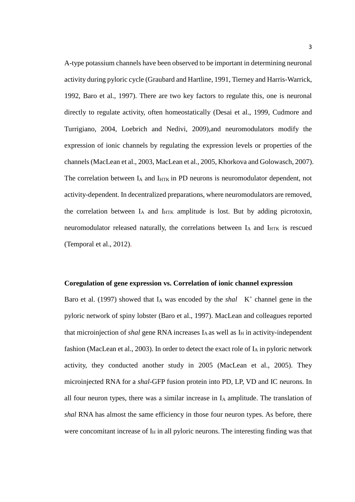A-type potassium channels have been observed to be important in determining neuronal activity during pyloric cycle [\(Graubard and Hartline, 1991,](#page-37-1) [Tierney and Harris-Warrick,](#page-39-1)  [1992,](#page-39-1) [Baro et al., 1997\)](#page-37-2). There are two key factors to regulate this, one is neuronal directly to regulate activity, often homeostatically [\(Desai et al., 1999,](#page-37-3) [Cudmore and](#page-37-4)  [Turrigiano, 2004,](#page-37-4) [Loebrich and Nedivi, 2009\)](#page-38-8),and neuromodulators modify the expression of ionic channels by regulating the expression levels or properties of the channels [\(MacLean et al., 2003,](#page-38-5) [MacLean et al., 2005,](#page-38-9) [Khorkova and Golowasch, 2007\)](#page-38-6). The correlation between  $I_A$  and  $I_{HTK}$  in PD neurons is neuromodulator dependent, not activity-dependent. In decentralized preparations, where neuromodulators are removed, the correlation between  $I_A$  and  $I_{HTK}$  amplitude is lost. But by adding picrotoxin, neuromodulator released naturally, the correlations between  $I_A$  and  $I_{HTK}$  is rescued [\(Temporal et al., 2012\)](#page-38-7).

### **Coregulation of gene expression vs. Correlation of ionic channel expression**

Baro et al. (1997) showed that  $I_A$  was encoded by the *shal*  $K^+$  channel gene in the pyloric network of spiny lobster [\(Baro et al., 1997\)](#page-37-2). MacLean and colleagues reported that microinjection of *shal* gene RNA increases I<sub>A</sub> as well as I<sub>H</sub> in activity-independent fashion [\(MacLean et al., 2003\)](#page-38-5). In order to detect the exact role of  $I_A$  in pyloric network activity, they conducted another study in 2005 [\(MacLean et al., 2005\)](#page-38-9). They microinjected RNA for a *shal*-GFP fusion protein into PD, LP, VD and IC neurons. In all four neuron types, there was a similar increase in  $I<sub>A</sub>$  amplitude. The translation of *shal* RNA has almost the same efficiency in those four neuron types. As before, there were concomitant increase of  $I_H$  in all pyloric neurons. The interesting finding was that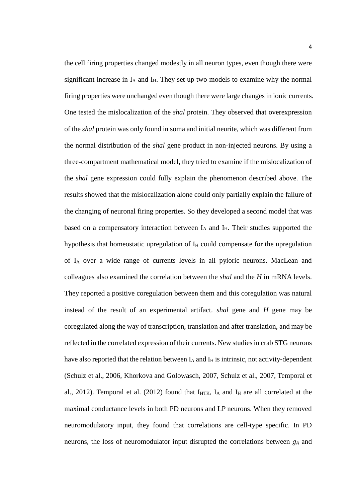the cell firing properties changed modestly in all neuron types, even though there were significant increase in  $I_A$  and  $I_H$ . They set up two models to examine why the normal firing properties were unchanged even though there were large changes in ionic currents. One tested the mislocalization of the *shal* protein. They observed that overexpression of the *shal* protein was only found in soma and initial neurite, which was different from the normal distribution of the *shal* gene product in non-injected neurons. By using a three-compartment mathematical model, they tried to examine if the mislocalization of the *shal* gene expression could fully explain the phenomenon described above. The results showed that the mislocalization alone could only partially explain the failure of the changing of neuronal firing properties. So they developed a second model that was based on a compensatory interaction between  $I_A$  and  $I_H$ . Their studies supported the hypothesis that homeostatic upregulation of  $I<sub>H</sub>$  could compensate for the upregulation of I<sup>A</sup> over a wide range of currents levels in all pyloric neurons. MacLean and colleagues also examined the correlation between the *shal* and the *H* in mRNA levels. They reported a positive coregulation between them and this coregulation was natural instead of the result of an experimental artifact. *shal* gene and *H* gene may be coregulated along the way of transcription, translation and after translation, and may be reflected in the correlated expression of their currents. New studies in crab STG neurons have also reported that the relation between  $I_A$  and  $I_H$  is intrinsic, not activity-dependent [\(Schulz et al., 2006,](#page-38-10) [Khorkova and Golowasch, 2007,](#page-38-6) [Schulz et al., 2007,](#page-38-11) [Temporal et](#page-38-7)  [al., 2012\)](#page-38-7). Temporal et al. (2012) found that  $I_{HTK}$ ,  $I_A$  and  $I_H$  are all correlated at the maximal conductance levels in both PD neurons and LP neurons. When they removed neuromodulatory input, they found that correlations are cell-type specific. In PD neurons, the loss of neuromodulator input disrupted the correlations between *g<sup>A</sup>* and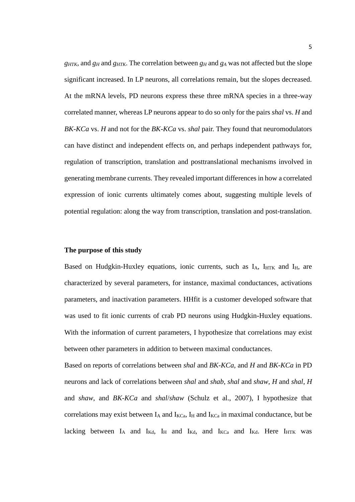*gHTK*, and *g<sup>H</sup>* and *gHTK*. The correlation between *g<sup>H</sup>* and *g<sup>A</sup>* was not affected but the slope significant increased. In LP neurons, all correlations remain, but the slopes decreased. At the mRNA levels, PD neurons express these three mRNA species in a three-way correlated manner, whereas LP neurons appear to do so only for the pairs *shal* vs. *H* and *BK-KCa* vs. *H* and not for the *BK-KCa* vs. *shal* pair. They found that neuromodulators can have distinct and independent effects on, and perhaps independent pathways for, regulation of transcription, translation and posttranslational mechanisms involved in generating membrane currents. They revealed important differences in how a correlated expression of ionic currents ultimately comes about, suggesting multiple levels of potential regulation: along the way from transcription, translation and post-translation.

### **The purpose of this study**

Based on Hudgkin-Huxley equations, ionic currents, such as IA, IHTK and IH, are characterized by several parameters, for instance, maximal conductances, activations parameters, and inactivation parameters. HHfit is a customer developed software that was used to fit ionic currents of crab PD neurons using Hudgkin-Huxley equations. With the information of current parameters, I hypothesize that correlations may exist between other parameters in addition to between maximal conductances.

Based on reports of correlations between *shal* and *BK-KCa*, and *H* and *BK-KCa* in PD neurons and lack of correlations between *shal* and *shab*, *shal* and *shaw*, *H* and *shal*, *H* and *shaw*, and *BK-KCa* and *shal*/*shaw* [\(Schulz et al., 2007\)](#page-38-11), I hypothesize that correlations may exist between  $I_A$  and  $I_{KCa}$ ,  $I_H$  and  $I_{KCa}$  in maximal conductance, but be lacking between  $I_A$  and  $I_{Kd}$ ,  $I_H$  and  $I_{Kd}$ , and  $I_{Kc}$  and  $I_{Kd}$ . Here  $I_{HTK}$  was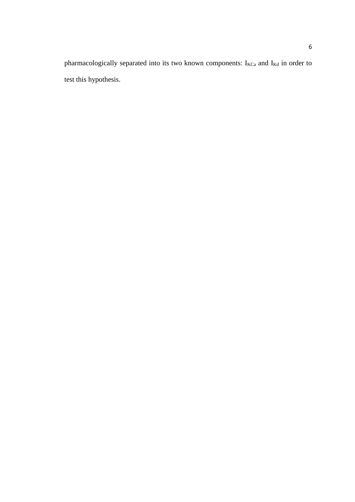pharmacologically separated into its two known components: I<sub>KCa</sub> and I<sub>Kd</sub> in order to test this hypothesis.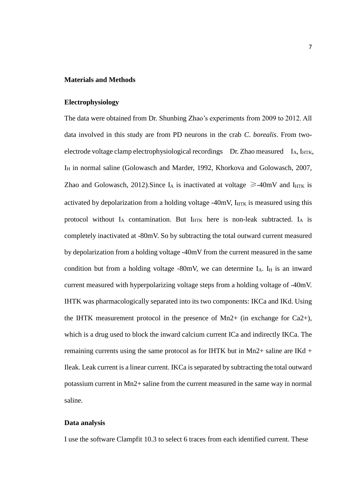#### **Materials and Methods**

### **Electrophysiology**

The data were obtained from Dr. Shunbing Zhao's experiments from 2009 to 2012. All data involved in this study are from PD neurons in the crab *C*. *borealis*. From twoelectrode voltage clamp electrophysiological recordings Dr. Zhao measured I<sub>A</sub>, I<sub>HTK</sub>, I<sub>H</sub> in normal saline [\(Golowasch and Marder, 1992,](#page-37-5) [Khorkova and Golowasch, 2007,](#page-38-6) [Zhao and Golowasch, 2012\)](#page-39-2). Since I<sub>A</sub> is inactivated at voltage  $\geq$ -40mV and I<sub>HTK</sub> is activated by depolarization from a holding voltage -40mV, I<sub>HTK</sub> is measured using this protocol without  $I_A$  contamination. But  $I_{\text{HTK}}$  here is non-leak subtracted.  $I_A$  is completely inactivated at -80mV. So by subtracting the total outward current measured by depolarization from a holding voltage -40mV from the current measured in the same condition but from a holding voltage -80mV, we can determine  $I_A$ .  $I_H$  is an inward current measured with hyperpolarizing voltage steps from a holding voltage of -40mV. IHTK was pharmacologically separated into its two components: IKCa and IKd. Using the IHTK measurement protocol in the presence of  $Mn2+$  (in exchange for Ca2+), which is a drug used to block the inward calcium current ICa and indirectly IKCa. The remaining currents using the same protocol as for IHTK but in Mn2+ saline are IKd + Ileak. Leak current is a linear current. IKCa is separated by subtracting the total outward potassium current in Mn2+ saline from the current measured in the same way in normal saline.

## **Data analysis**

I use the software Clampfit 10.3 to select 6 traces from each identified current. These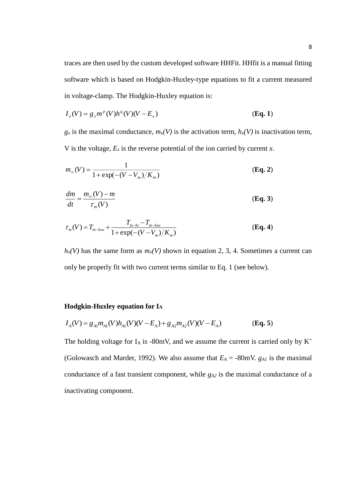traces are then used by the custom developed software HHFit. HHfit is a manual fitting software which is based on Hodgkin-Huxley-type equations to fit a current measured in voltage-clamp. The Hodgkin-Huxley equation is:

$$
I_x(V) = g_x m^p(V) h^q(V)(V - E_x)
$$
\n(Eq. 1)

 $g_x$  is the maximal conductance,  $m_x(V)$  is the activation term,  $h_x(V)$  is inactivation term, V is the voltage,  $E_x$  is the reverse potential of the ion carried by current  $x$ .

$$
m_{\infty}(V) = \frac{1}{1 + \exp(-(V - V_m)/K_m)}
$$
(Eq. 2)

$$
\frac{dm}{dt} = \frac{m_{\infty}(V) - m}{\tau_m(V)}\tag{Eq. 3}
$$

$$
\tau_m(V) = T_{m-low} + \frac{T_{m-hi} - T_{m-low}}{1 + \exp(-(V - V_m)/K_m)}
$$
(Eq. 4)

 $h_x(V)$  has the same form as  $m_x(V)$  shown in equation 2, 3, 4. Sometimes a current can only be properly fit with two current terms similar to Eq. 1 (see below).

## **Hodgkin-Huxley equation for I<sup>A</sup>**

$$
I_A(V) = g_{A1}m_{A1}(V)h_{A1}(V)(V - E_A) + g_{A2}m_{A2}(V)(V - E_A)
$$
 (Eq. 5)

The holding voltage for  $I_A$  is -80mV, and we assume the current is carried only by  $K^+$ [\(Golowasch and Marder, 1992\)](#page-37-5). We also assume that  $E_A = -80$  MV.  $g_{A I}$  is the maximal conductance of a fast transient component, while *gA2* is the maximal conductance of a inactivating component.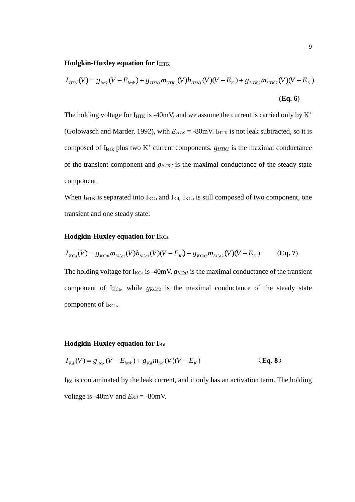### **Hodgkin-Huxley equation for IHTK**

$$
I_{HTK}(V) = g_{leak}(V - E_{leak}) + g_{HTK1}m_{HTK1}(V)h_{HTK1}(V)(V - E_K) + g_{HTK2}m_{HTK2}(V)(V - E_K)
$$
\n(Eq. 6)

The holding voltage for  $I_{HTK}$  is -40mV, and we assume the current is carried only by  $K^+$ [\(Golowasch and Marder, 1992\)](#page-37-5), with  $E_{HTK}$  = -80mV. I<sub>HTK</sub> is not leak subtracted, so it is composed of  $I_{\text{leak}}$  plus two  $K^+$  current components. *g<sub>HTK1</sub>* is the maximal conductance of the transient component and *gHTK2* is the maximal conductance of the steady state component.

When  $I_{\text{HTK}}$  is separated into  $I_{\text{KCa}}$  and  $I_{\text{Kd}}$ ,  $I_{\text{KCa}}$  is still composed of two component, one transient and one steady state:

### **Hodgkin-Huxley equation for IKCa**

$$
I_{KCa}(V) = g_{KCa1} m_{KCa1}(V) h_{KCa1}(V) (V - E_K) + g_{KCa2} m_{KCa2}(V) (V - E_K)
$$
 (Eq. 7)

The holding voltage for  $I_{KCa}$  is -40mV.  $g_{KCa}$  is the maximal conductance of the transient component of  $I_{KCa}$ , while  $g_{KCa2}$  is the maximal conductance of the steady state component of I<sub>KCa</sub>.

## **Hodgkin-Huxley equation for IKd**

$$
I_{Kd}(V) = g_{leak}(V - E_{leak}) + g_{Kd}m_{Kd}(V)(V - E_K)
$$
 (Eq. 8)

 $I_{\text{Kd}}$  is contaminated by the leak current, and it only has an activation term. The holding voltage is -40mV and  $E_{Kd}$  = -80mV.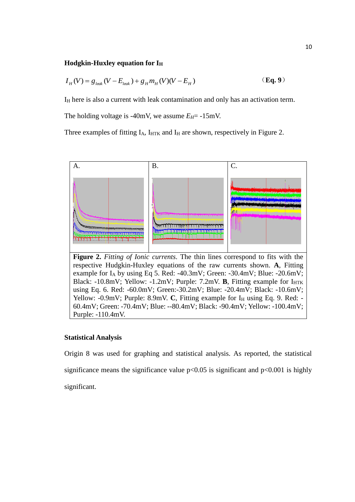## **Hodgkin-Huxley equation for I<sup>H</sup>**

$$
I_{H}(V) = g_{leak}(V - E_{leak}) + g_{H}m_{H}(V)(V - E_{H})
$$
\n(Eq.9)

I<sup>H</sup> here is also a current with leak contamination and only has an activation term.

The holding voltage is -40mV, we assume  $E_H$ = -15mV.

Three examples of fitting  $I_A$ ,  $I_{HTK}$  and  $I_H$  are shown, respectively in Figure 2.



## **Statistical Analysis**

Purple: -110.4mV.

Origin 8 was used for graphing and statistical analysis. As reported, the statistical significance means the significance value  $p<0.05$  is significant and  $p<0.001$  is highly significant.

60.4mV; Green: -70.4mV; Blue: --80.4mV; Black: -90.4mV; Yellow: -100.4mV;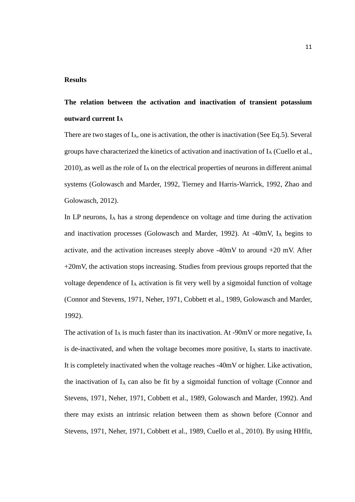#### **Results**

# **The relation between the activation and inactivation of transient potassium outward current I<sup>A</sup>**

There are two stages of I<sub>A</sub>, one is activation, the other is inactivation (See Eq.5). Several groups have characterized the kinetics of activation and inactivation of I<sup>A</sup> [\(Cuello et al.,](#page-37-6)  [2010\)](#page-37-6), as well as the role of  $I_A$  on the electrical properties of neurons in different animal systems [\(Golowasch and Marder, 1992,](#page-37-5) [Tierney and Harris-Warrick, 1992,](#page-39-1) [Zhao and](#page-39-2)  [Golowasch, 2012\)](#page-39-2).

In LP neurons,  $I_A$  has a strong dependence on voltage and time during the activation and inactivation processes [\(Golowasch and Marder, 1992\)](#page-37-5). At -40mV, I<sup>A</sup> begins to activate, and the activation increases steeply above -40mV to around +20 mV. After +20mV, the activation stops increasing. Studies from previous groups reported that the voltage dependence of I<sup>A</sup> activation is fit very well by a sigmoidal function of voltage [\(Connor and Stevens, 1971,](#page-37-7) [Neher, 1971,](#page-38-12) [Cobbett et al., 1989,](#page-37-8) [Golowasch and Marder,](#page-37-5)  [1992\)](#page-37-5).

The activation of  $I_A$  is much faster than its inactivation. At -90mV or more negative,  $I_A$ is de-inactivated, and when the voltage becomes more positive,  $I_A$  starts to inactivate. It is completely inactivated when the voltage reaches -40mV or higher. Like activation, the inactivation of  $I_A$  can also be fit by a sigmoidal function of voltage (Connor and [Stevens, 1971,](#page-37-7) [Neher, 1971,](#page-38-12) [Cobbett et al., 1989,](#page-37-8) [Golowasch and Marder, 1992\)](#page-37-5). And there may exists an intrinsic relation between them as shown before [\(Connor and](#page-37-7)  [Stevens, 1971,](#page-37-7) [Neher, 1971,](#page-38-12) [Cobbett et al., 1989,](#page-37-8) [Cuello et al., 2010\)](#page-37-6). By using HHfit,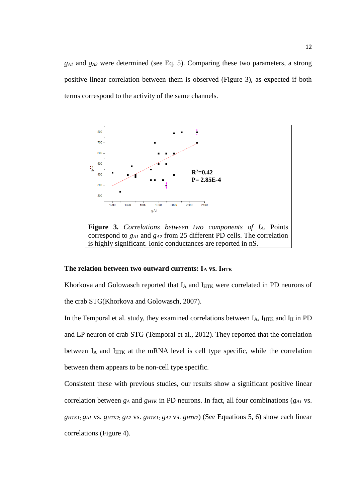*gA1* and *gA2* were determined (see Eq. 5). Comparing these two parameters, a strong positive linear correlation between them is observed (Figure 3), as expected if both terms correspond to the activity of the same channels.



### **The relation between two outward currents: I<sup>A</sup> vs. IHTK**

Khorkova and Golowasch reported that IA and IHTK were correlated in PD neurons of the crab STG[\(Khorkova and Golowasch, 2007\)](#page-38-6).

In the Temporal et al. study, they examined correlations between  $I_A$ ,  $I_{HTK}$  and  $I_H$  in PD and LP neuron of crab STG [\(Temporal et al., 2012\)](#page-38-7). They reported that the correlation between  $I_A$  and  $I_{\text{HTK}}$  at the mRNA level is cell type specific, while the correlation between them appears to be non-cell type specific.

Consistent these with previous studies, our results show a significant positive linear correlation between *g<sup>A</sup>* and *gHTK* in PD neurons. In fact, all four combinations (*gA1* vs. *gHTK1; gA1* vs. *gHTK2*; *gA2* vs. *gHTK1*; *gA2* vs. *gHTK2*) (See Equations 5, 6) show each linear correlations (Figure 4).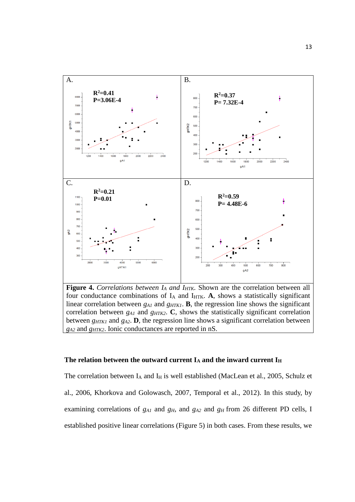

**Figure 4.** *Correlations between I<sup>A</sup> and IHTK.* Shown are the correlation between all four conductance combinations of  $I_A$  and  $I_{HTK}$ . A, shows a statistically significant linear correlation between *g<sub>A1</sub>* and *g<sub>HTK1</sub>*. **B**, the regression line shows the significant correlation between  $g_{AI}$  and  $g_{HTK2}$ . C, shows the statistically significant correlation between  $g_{HTKI}$  and  $g_{A2}$ . **D**, the regression line shows a significant correlation between *gA2* and *gHTK2*. Ionic conductances are reported in nS.

#### **The relation between the outward current I<sup>A</sup> and the inward current I<sup>H</sup>**

The correlation between  $I_A$  and  $I_H$  is well established [\(MacLean et al., 2005,](#page-38-9) Schulz et [al., 2006,](#page-38-10) [Khorkova and Golowasch, 2007,](#page-38-6) [Temporal et al., 2012\)](#page-38-7). In this study, by examining correlations of *gA1* and *gH*, and *gA2* and *gH* from 26 different PD cells, I established positive linear correlations (Figure 5) in both cases. From these results, we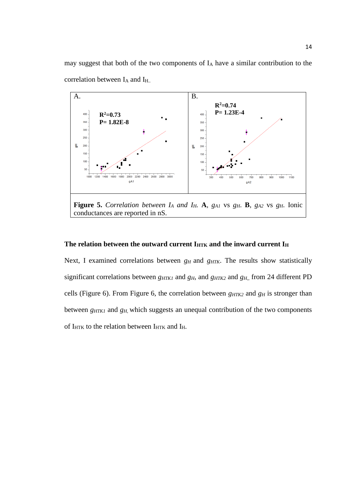may suggest that both of the two components of I<sup>A</sup> have a similar contribution to the correlation between I<sub>A</sub> and I<sub>H.</sub>.



## The relation between the outward current I<sub>HTK</sub> and the inward current I<sub>H</sub>

Next, I examined correlations between  $g_H$  and  $g_{HTK}$ . The results show statistically significant correlations between *g*<sub>*HTK1</sub>* and *g*<sub>*H*</sub>, and *g*<sub>*HTK2*</sub> and *g*<sub>*H*<sub>n</sub></sub>, from 24 different PD</sub> cells (Figure 6). From Figure 6, the correlation between  $g_{HTK2}$  and  $g_H$  is stronger than between *gHTK1* and *gH*, which suggests an unequal contribution of the two components of I<sub>HTK</sub> to the relation between I<sub>HTK</sub> and I<sub>H</sub>.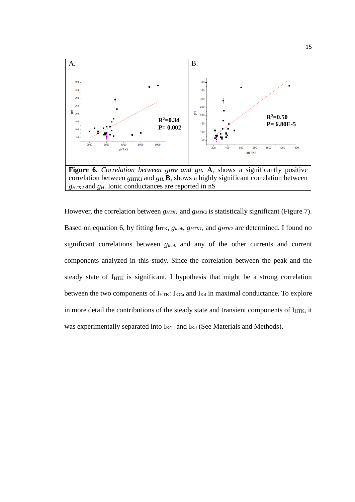

However, the correlation between *g*<sub>*HTK1</sub>* and *g*<sub>*HTK2</sub>* is statistically significant (Figure 7).</sub></sub> Based on equation 6, by fitting I<sub>HTK</sub>, *g*<sub>leak</sub>, *g*<sub>HTK1</sub>, and *g*<sub>HTK2</sub> are determined. I found no significant correlations between *gleak* and any of the other currents and current components analyzed in this study. Since the correlation between the peak and the steady state of  $I_{\text{HTK}}$  is significant, I hypothesis that might be a strong correlation between the two components of  $I_{\text{HTK}}$ :  $I_{\text{KCa}}$  and  $I_{\text{Kd}}$  in maximal conductance. To explore in more detail the contributions of the steady state and transient components of  $I_{\text{HTK}}$ , it was experimentally separated into  $I_{\text{KCa}}$  and  $I_{\text{Kd}}$  (See Materials and Methods).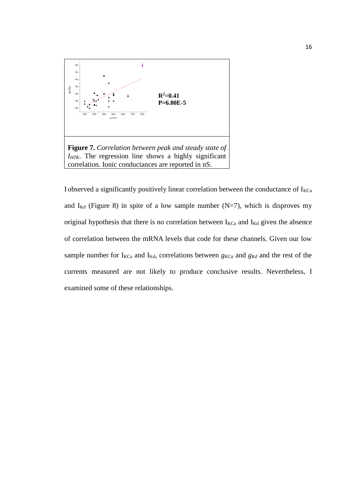

I observed a significantly positively linear correlation between the conductance of  $I_{KCa}$ and  $I_{Kd}$  (Figure 8) in spite of a low sample number (N=7), which is disproves my original hypothesis that there is no correlation between  $I_{KCa}$  and  $I_{Kd}$  given the absence of correlation between the mRNA levels that code for these channels. Given our low sample number for  $I_{\text{KCa}}$  and  $I_{\text{Kd}}$ , correlations between  $g_{\text{KCa}}$  and  $g_{\text{Kd}}$  and the rest of the currents measured are not likely to produce conclusive results. Nevertheless, I examined some of these relationships.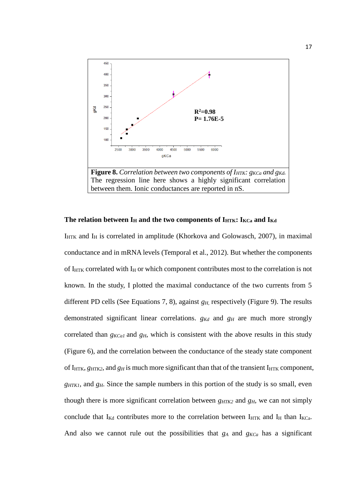

## **The relation between I<sup>H</sup> and the two components of IHTK: IKCa and IKd**

 $I_{\text{HTK}}$  and  $I_{\text{H}}$  is correlated in amplitude [\(Khorkova and Golowasch, 2007\)](#page-38-6), in maximal conductance and in mRNA levels [\(Temporal et al., 2012\)](#page-38-7). But whether the components of  $I_{\text{HTK}}$  correlated with  $I_{\text{H}}$  or which component contributes most to the correlation is not known. In the study, I plotted the maximal conductance of the two currents from 5 different PD cells (See Equations 7, 8), against *gH*, respectively (Figure 9). The results demonstrated significant linear correlations. *gKd* and *g<sup>H</sup>* are much more strongly correlated than *gKCa1* and *gH*, which is consistent with the above results in this study (Figure 6), and the correlation between the conductance of the steady state component of  $I_{\text{HTK}}$ ,  $g_{\text{HTK2}}$ , and  $g_{\text{H}}$  is much more significant than that of the transient  $I_{\text{HTK}}$  component, *gHTK1*, and *g<sub>H</sub>*. Since the sample numbers in this portion of the study is so small, even though there is more significant correlation between  $g_{HTK2}$  and  $g_H$ , we can not simply conclude that  $I_{Kd}$  contributes more to the correlation between  $I_{HTK}$  and  $I_H$  than  $I_{KCa}$ . And also we cannot rule out the possibilities that  $g_A$  and  $g_{KCa}$  has a significant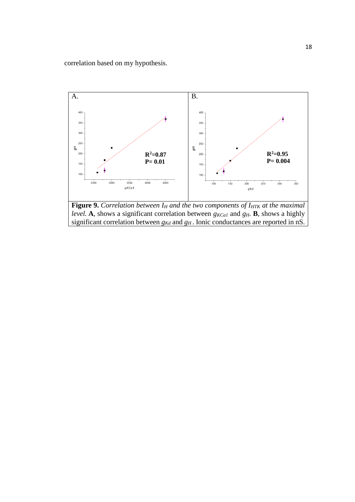correlation based on my hypothesis.



**Figure 9.** *Correlation between I<sup>H</sup> and the two components of IHTK at the maximal level.* **A**, shows a significant correlation between  $g_{KCAI}$  and  $g_H$ . **B**, shows a highly significant correlation between *gKd* and *g<sup>H</sup>* . Ionic conductances are reported in nS.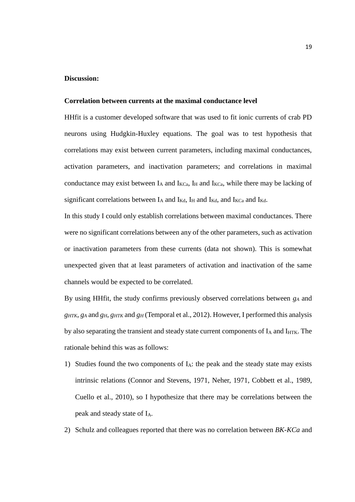#### **Discussion:**

## **Correlation between currents at the maximal conductance level**

HHfit is a customer developed software that was used to fit ionic currents of crab PD neurons using Hudgkin-Huxley equations. The goal was to test hypothesis that correlations may exist between current parameters, including maximal conductances, activation parameters, and inactivation parameters; and correlations in maximal conductance may exist between  $I_A$  and  $I_{KCa}$ ,  $I_H$  and  $I_{KCa}$ , while there may be lacking of significant correlations between  $I_A$  and  $I_{Kd}$ ,  $I_H$  and  $I_{Kd}$ , and  $I_{Kc}$  and  $I_{Kd}$ .

In this study I could only establish correlations between maximal conductances. There were no significant correlations between any of the other parameters, such as activation or inactivation parameters from these currents (data not shown). This is somewhat unexpected given that at least parameters of activation and inactivation of the same channels would be expected to be correlated.

By using HHfit, the study confirms previously observed correlations between *g<sup>A</sup>* and *gHTK*, *g<sup>A</sup>* and *gH*, *gHTK* and *g<sup>H</sup>* [\(Temporal et al., 2012\)](#page-38-7). However, I performed this analysis by also separating the transient and steady state current components of  $I_A$  and  $I_{\text{HTK}}$ . The rationale behind this was as follows:

- 1) Studies found the two components of  $I_A$ : the peak and the steady state may exists intrinsic relations [\(Connor and Stevens, 1971,](#page-37-7) [Neher, 1971,](#page-38-12) [Cobbett et al., 1989,](#page-37-8) [Cuello et al., 2010\)](#page-37-6), so I hypothesize that there may be correlations between the peak and steady state of IA.
- 2) Schulz and colleagues reported that there was no correlation between *BK-KCa* and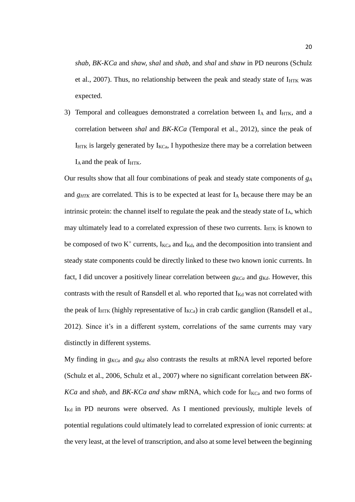*shab*, *BK-KCa* and *shaw, shal* and *shab*, and *shal* and *shaw* in PD neurons [\(Schulz](#page-38-11)  [et al., 2007\)](#page-38-11). Thus, no relationship between the peak and steady state of  $I_{\text{HTK}}$  was expected.

3) Temporal and colleagues demonstrated a correlation between IA and IHTK, and a correlation between *shal* and *BK-KCa* [\(Temporal et al., 2012\)](#page-38-7), since the peak of  $I_{\text{HTK}}$  is largely generated by  $I_{\text{KCa}}$ , I hypothesize there may be a correlation between I<sub>A</sub> and the peak of I<sub>HTK</sub>.

Our results show that all four combinations of peak and steady state components of *g<sup>A</sup>* and *g<sub>HTK</sub>* are correlated. This is to be expected at least for I<sub>A</sub> because there may be an intrinsic protein: the channel itself to regulate the peak and the steady state of  $I_A$ , which may ultimately lead to a correlated expression of these two currents.  $I_{\text{HTK}}$  is known to be composed of two  $K^+$  currents,  $I_{KCa}$  and  $I_{Kd}$ , and the decomposition into transient and steady state components could be directly linked to these two known ionic currents. In fact, I did uncover a positively linear correlation between *gKCa* and *gKd*. However, this contrasts with the result of Ransdell et al. who reported that  $I_{Kd}$  was not correlated with the peak of I<sub>HTK</sub> (highly representative of  $I_{\text{KCa}}$ ) in crab cardic ganglion (Ransdell et al., [2012\)](#page-38-13). Since it's in a different system, correlations of the same currents may vary distinctly in different systems.

My finding in  $g_{KCa}$  and  $g_{Kd}$  also contrasts the results at mRNA level reported before [\(Schulz et al., 2006,](#page-38-10) [Schulz et al., 2007\)](#page-38-11) where no significant correlation between *BK-KCa* and *shab*, and *BK-KCa and shaw* mRNA, which code for I<sub>KCa</sub> and two forms of IKd in PD neurons were observed. As I mentioned previously, multiple levels of potential regulations could ultimately lead to correlated expression of ionic currents: at the very least, at the level of transcription, and also at some level between the beginning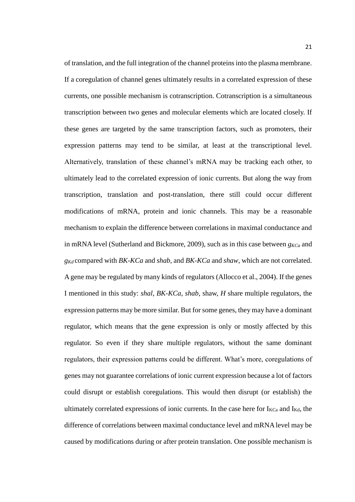of translation, and the full integration of the channel proteins into the plasma membrane. If a coregulation of channel genes ultimately results in a correlated expression of these currents, one possible mechanism is cotranscription. Cotranscription is a simultaneous transcription between two genes and molecular elements which are located closely. If these genes are targeted by the same transcription factors, such as promoters, their expression patterns may tend to be similar, at least at the transcriptional level. Alternatively, translation of these channel's mRNA may be tracking each other, to ultimately lead to the correlated expression of ionic currents. But along the way from transcription, translation and post-translation, there still could occur different modifications of mRNA, protein and ionic channels. This may be a reasonable mechanism to explain the difference between correlations in maximal conductance and in mRNA level [\(Sutherland and Bickmore, 2009\)](#page-38-14), such as in this case between *gKCa* and *gKd* compared with *BK-KCa* and *shab*, and *BK-KCa* and *shaw*, which are not correlated. A gene may be regulated by many kinds of regulators [\(Allocco et al., 2004\)](#page-37-9). If the genes I mentioned in this study: *shal*, *BK-KCa*, *shab*, shaw, *H* share multiple regulators, the expression patterns may be more similar. But for some genes, they may have a dominant regulator, which means that the gene expression is only or mostly affected by this regulator. So even if they share multiple regulators, without the same dominant regulators, their expression patterns could be different. What's more, coregulations of genes may not guarantee correlations of ionic current expression because a lot of factors could disrupt or establish coregulations. This would then disrupt (or establish) the ultimately correlated expressions of ionic currents. In the case here for  $I_{\text{KCa}}$  and  $I_{\text{Kd}}$ , the difference of correlations between maximal conductance level and mRNA level may be caused by modifications during or after protein translation. One possible mechanism is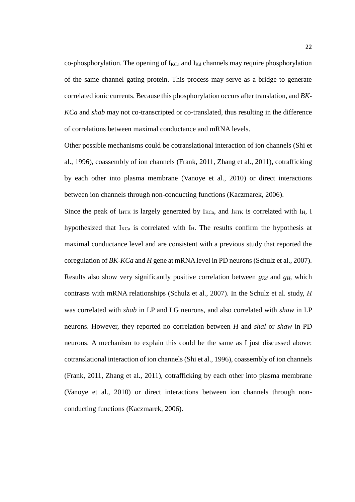co-phosphorylation. The opening of  $I_{\text{KCa}}$  and  $I_{\text{Kd}}$  channels may require phosphorylation of the same channel gating protein. This process may serve as a bridge to generate correlated ionic currents. Because this phosphorylation occurs after translation, and *BK-KCa* and *shab* may not co-transcripted or co-translated, thus resulting in the difference of correlations between maximal conductance and mRNA levels.

Other possible mechanisms could be cotranslational interaction of ion channels [\(Shi et](#page-38-15)  [al., 1996\)](#page-38-15), coassembly of ion channels [\(Frank, 2011,](#page-37-10) [Zhang et al., 2011\)](#page-39-3), cotrafficking by each other into plasma membrane [\(Vanoye et al., 2010\)](#page-39-4) or direct interactions between ion channels through non-conducting functions [\(Kaczmarek, 2006\)](#page-37-11).

Since the peak of  $I_{\text{HTK}}$  is largely generated by  $I_{\text{KCa}}$ , and  $I_{\text{HTK}}$  is correlated with  $I_{\text{H}}$ , I hypothesized that  $I_{KCa}$  is correlated with  $I_{H}$ . The results confirm the hypothesis at maximal conductance level and are consistent with a previous study that reported the coregulation of *BK-KCa* and *H* gene at mRNA level in PD neurons [\(Schulz et](#page-38-11) al., 2007). Results also show very significantly positive correlation between  $g_{Kd}$  and  $g_H$ , which contrasts with mRNA relationships [\(Schulz et al., 2007\)](#page-38-11). In the Schulz et al. study, *H* was correlated with *shab* in LP and LG neurons, and also correlated with *shaw* in LP neurons. However, they reported no correlation between *H* and *shal* or *shaw* in PD neurons. A mechanism to explain this could be the same as I just discussed above: cotranslational interaction of ion channels [\(Shi et al., 1996\)](#page-38-15), coassembly of ion channels [\(Frank, 2011,](#page-37-10) [Zhang et al., 2011\)](#page-39-3), cotrafficking by each other into plasma membrane [\(Vanoye et al., 2010\)](#page-39-4) or direct interactions between ion channels through nonconducting functions [\(Kaczmarek, 2006\)](#page-37-11).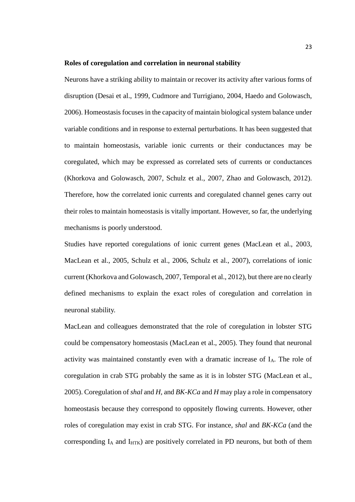#### **Roles of coregulation and correlation in neuronal stability**

Neurons have a striking ability to maintain or recover its activity after various forms of disruption [\(Desai et al., 1999,](#page-37-3) [Cudmore and Turrigiano, 2004,](#page-37-4) [Haedo and Golowasch,](#page-37-12)  [2006\)](#page-37-12). Homeostasis focuses in the capacity of maintain biological system balance under variable conditions and in response to external perturbations. It has been suggested that to maintain homeostasis, variable ionic currents or their conductances may be coregulated, which may be expressed as correlated sets of currents or conductances [\(Khorkova and Golowasch, 2007,](#page-38-6) [Schulz et al., 2007,](#page-38-11) [Zhao and Golowasch, 2012\)](#page-39-2). Therefore, how the correlated ionic currents and coregulated channel genes carry out their roles to maintain homeostasis is vitally important. However, so far, the underlying mechanisms is poorly understood.

Studies have reported coregulations of ionic current genes [\(MacLean et al., 2003,](#page-38-5) [MacLean et al., 2005,](#page-38-9) [Schulz et al., 2006,](#page-38-10) [Schulz et al., 2007\)](#page-38-11), correlations of ionic current [\(Khorkova and Golowasch, 2007,](#page-38-6) [Temporal et al., 2012\)](#page-38-7), but there are no clearly defined mechanisms to explain the exact roles of coregulation and correlation in neuronal stability.

MacLean and colleagues demonstrated that the role of coregulation in lobster STG could be compensatory homeostasis [\(MacLean et al., 2005\)](#page-38-9). They found that neuronal activity was maintained constantly even with a dramatic increase of IA. The role of coregulation in crab STG probably the same as it is in lobster STG [\(MacLean et al.,](#page-38-9)  [2005\)](#page-38-9). Coregulation of *shal* and *H*, and *BK-KCa* and *H* may play a role in compensatory homeostasis because they correspond to oppositely flowing currents. However, other roles of coregulation may exist in crab STG. For instance, *shal* and *BK-KCa* (and the corresponding  $I_A$  and  $I_{HTK}$ ) are positively correlated in PD neurons, but both of them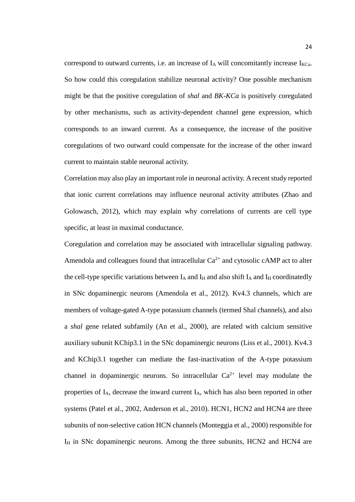correspond to outward currents, i.e. an increase of  $I_A$  will concomitantly increase  $I_{KCa}$ . So how could this coregulation stabilize neuronal activity? One possible mechanism might be that the positive coregulation of *shal* and *BK-KCa* is positively coregulated by other mechanisms, such as activity-dependent channel gene expression, which corresponds to an inward current. As a consequence, the increase of the positive coregulations of two outward could compensate for the increase of the other inward current to maintain stable neuronal activity.

Correlation may also play an important role in neuronal activity. A recent study reported that ionic current correlations may influence neuronal activity attributes [\(Zhao and](#page-39-2)  [Golowasch, 2012\)](#page-39-2), which may explain why correlations of currents are cell type specific, at least in maximal conductance.

Coregulation and correlation may be associated with intracellular signaling pathway. Amendola and colleagues found that intracellular  $Ca^{2+}$  and cytosolic cAMP act to alter the cell-type specific variations between  $I_A$  and  $I_H$  and also shift  $I_A$  and  $I_H$  coordinatedly in SNc dopaminergic neurons [\(Amendola et al., 2012\)](#page-37-13). Kv4.3 channels, which are members of voltage-gated A-type potassium channels (termed Shal channels), and also a *shal* gene related subfamily [\(An et al., 2000\)](#page-37-14), are related with calcium sensitive auxiliary subunit KChip3.1 in the SNc dopaminergic neurons [\(Liss et al., 2001\)](#page-38-16). Kv4.3 and KChip3.1 together can mediate the fast-inactivation of the A-type potassium channel in dopaminergic neurons. So intracellular  $Ca^{2+}$  level may modulate the properties of IA, decrease the inward current IA, which has also been reported in other systems [\(Patel et al., 2002,](#page-38-17) [Anderson et al., 2010\)](#page-37-15). HCN1, HCN2 and HCN4 are three subunits of non-selective cation HCN channels [\(Monteggia et al., 2000\)](#page-38-18) responsible for  $I_H$  in SNc dopaminergic neurons. Among the three subunits, HCN2 and HCN4 are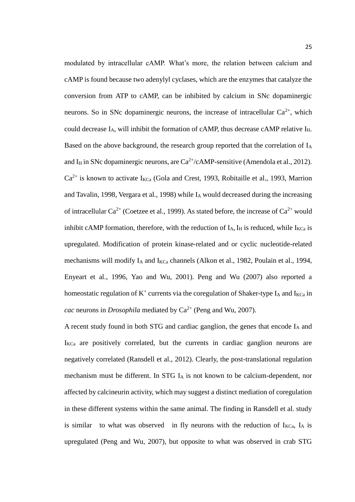modulated by intracellular cAMP. What's more, the relation between calcium and cAMP is found because two adenylyl cyclases, which are the enzymes that catalyze the conversion from ATP to cAMP, can be inhibited by calcium in SNc dopaminergic neurons. So in SNc dopaminergic neurons, the increase of intracellular  $Ca^{2+}$ , which could decrease  $I_A$ , will inhibit the formation of cAMP, thus decrease cAMP relative  $I_H$ . Based on the above background, the research group reported that the correlation of  $I_A$ and I<sub>H</sub> in SNc dopaminergic neurons, are  $Ca^{2+}/cAMP$ -sensitive [\(Amendola et al., 2012\)](#page-37-13).  $Ca^{2+}$  is known to activate  $I_{KCa}$  [\(Gola and Crest, 1993,](#page-37-16) [Robitaille et al., 1993,](#page-38-19) Marrion [and Tavalin, 1998,](#page-38-20) [Vergara et al., 1998\)](#page-39-5) while I<sup>A</sup> would decreased during the increasing of intracellular  $Ca^{2+}$  [\(Coetzee et al., 1999\)](#page-37-17). As stated before, the increase of  $Ca^{2+}$  would inhibit cAMP formation, therefore, with the reduction of  $I_A$ ,  $I_H$  is reduced, while  $I_{KCa}$  is upregulated. Modification of protein kinase-related and or cyclic nucleotide-related mechanisms will modify  $I_A$  and  $I_{KCa}$  channels [\(Alkon et al., 1982,](#page-37-18) [Poulain et al., 1994,](#page-38-21) [Enyeart et al., 1996,](#page-37-19) [Yao and Wu, 2001\)](#page-39-6). Peng and Wu (2007) also reported a homeostatic regulation of  $K^+$  currents via the coregulation of Shaker-type I<sub>A</sub> and I<sub>KCa</sub> in *cac* neurons in *Drosophila* mediated by  $Ca^{2+}$  [\(Peng and Wu, 2007\)](#page-38-22).

A recent study found in both STG and cardiac ganglion, the genes that encode I<sup>A</sup> and  $I_{KCa}$  are positively correlated, but the currents in cardiac ganglion neurons are negatively correlated [\(Ransdell et al., 2012\)](#page-38-13). Clearly, the post-translational regulation mechanism must be different. In STG  $I_A$  is not known to be calcium-dependent, nor affected by calcineurin activity, which may suggest a distinct mediation of coregulation in these different systems within the same animal. The finding in Ransdell et al. study is similar to what was observed in fly neurons with the reduction of  $I_{KCa}$ ,  $I_A$  is upregulated [\(Peng and Wu, 2007\)](#page-38-22), but opposite to what was observed in crab STG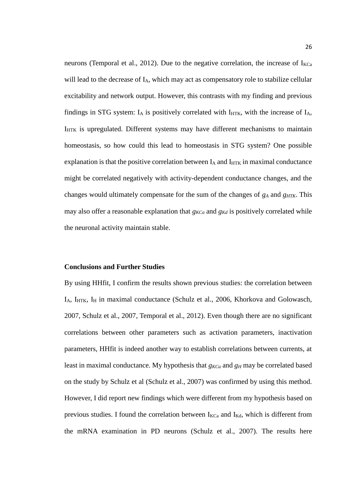neurons [\(Temporal et al., 2012\)](#page-38-7). Due to the negative correlation, the increase of  $I_{KCa}$ will lead to the decrease of I<sub>A</sub>, which may act as compensatory role to stabilize cellular excitability and network output. However, this contrasts with my finding and previous findings in STG system:  $I_A$  is positively correlated with  $I_{\text{HTK}}$ , with the increase of  $I_A$ , IHTK is upregulated. Different systems may have different mechanisms to maintain homeostasis, so how could this lead to homeostasis in STG system? One possible explanation is that the positive correlation between  $I_A$  and  $I_{HTK}$  in maximal conductance might be correlated negatively with activity-dependent conductance changes, and the changes would ultimately compensate for the sum of the changes of *g<sup>A</sup>* and *gHTK*. This may also offer a reasonable explanation that  $g_{KCa}$  and  $g_{Kd}$  is positively correlated while the neuronal activity maintain stable.

#### **Conclusions and Further Studies**

By using HHfit, I confirm the results shown previous studies: the correlation between  $I_A$ ,  $I_{\text{HTK}}$ ,  $I_H$  in maximal conductance [\(Schulz et al., 2006,](#page-38-10) Khorkova and Golowasch, [2007,](#page-38-6) [Schulz et al., 2007,](#page-38-11) [Temporal et al., 2012\)](#page-38-7). Even though there are no significant correlations between other parameters such as activation parameters, inactivation parameters, HHfit is indeed another way to establish correlations between currents, at least in maximal conductance. My hypothesis that  $g_{KCa}$  and  $g_H$  may be correlated based on the study by Schulz et al [\(Schulz et al., 2007\)](#page-38-11) was confirmed by using this method. However, I did report new findings which were different from my hypothesis based on previous studies. I found the correlation between  $I_{KCa}$  and  $I_{Kd}$ , which is different from the mRNA examination in PD neurons [\(Schulz et al., 2007\)](#page-38-11). The results here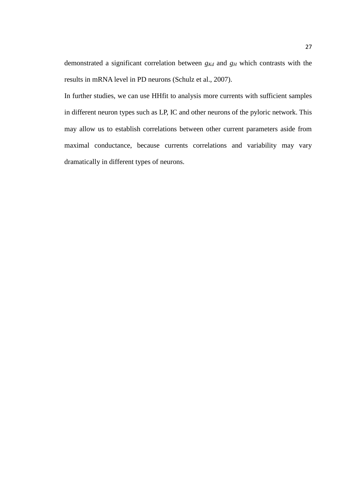demonstrated a significant correlation between *gKd* and *g<sup>H</sup>* which contrasts with the results in mRNA level in PD neurons [\(Schulz et al., 2007\)](#page-38-11).

In further studies, we can use HHfit to analysis more currents with sufficient samples in different neuron types such as LP, IC and other neurons of the pyloric network. This may allow us to establish correlations between other current parameters aside from maximal conductance, because currents correlations and variability may vary dramatically in different types of neurons.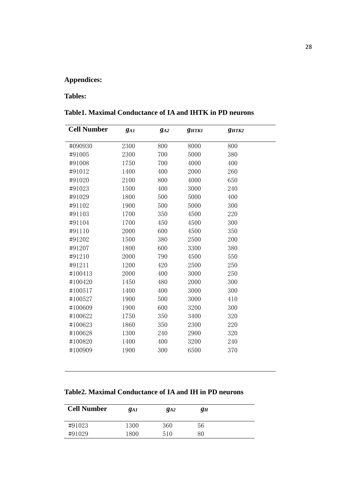# **Appendices:**

# **Tables:**

# **Table1. Maximal Conductance of IA and IHTK in PD neurons**

| <b>Cell Number</b> | $g_{AI}$ | $g_{A2}$ | <b>g</b> HTK1 | $g_{HTK2}$ |  |
|--------------------|----------|----------|---------------|------------|--|
|                    | 2300     | 800      | 8000          | 800        |  |
| #090930            |          |          |               |            |  |
| #91005             | 2300     | 700      | 5000          | 380        |  |
| #91008             | 1750     | 700      | 4000          | 400        |  |
| #91012             | 1400     | 400      | 2000          | 260        |  |
| #91020             | 2100     | 800      | 4000          | 650        |  |
| #91023             | 1500     | 400      | 3000          | 240        |  |
| #91029             | 1800     | 500      | 5000          | 400        |  |
| #91102             | 1900     | 500      | 5000          | 300        |  |
| #91103             | 1700     | 350      | 4500          | 220        |  |
| #91104             | 1700     | 450      | 4500          | 300        |  |
| #91110             | 2000     | 600      | 4500          | 350        |  |
| #91202             | 1500     | 380      | 2500          | 200        |  |
| #91207             | 1800     | 600      | 3300          | 380        |  |
| #91210             | 2000     | 790      | 4500          | 550        |  |
| #91211             | 1200     | 420      | 2500          | 250        |  |
| #100413            | 2000     | 400      | 3000          | 250        |  |
| #100420            | 1450     | 480      | 2000          | 300        |  |
| #100517            | 1400     | 400      | 3000          | 300        |  |
| #100527            | 1900     | 500      | 3000          | 410        |  |
| #100609            | 1900     | 600      | 3200          | 300        |  |
| #100622            | 1750     | 350      | 3400          | 320        |  |
| #100623            | 1860     | 350      | 2300          | 220        |  |
| #100628            | 1300     | 240      | 2900          | 320        |  |
| #100820            | 1400     | 400      | 3200          | 240        |  |
| #100909            | 1900     | 300      | 6500          | 370        |  |
|                    |          |          |               |            |  |

# **Table2. Maximal Conductance of IA and IH in PD neurons**

| <b>Cell Number</b> | <i>gai</i> | $g_{A2}$ | gн |  |
|--------------------|------------|----------|----|--|
| #91023             | 1300       | 360      | 56 |  |
| #91029             | 1800       | 510      | 80 |  |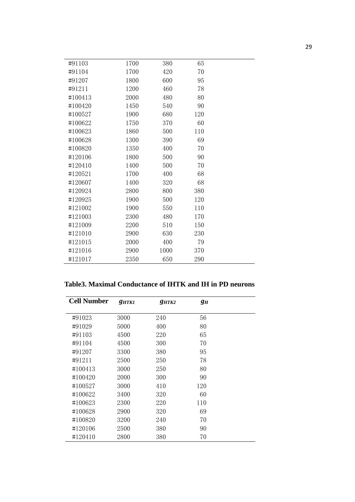| #91103  | 1700 | 380  | 65  |  |
|---------|------|------|-----|--|
| #91104  | 1700 | 420  | 70  |  |
| #91207  | 1800 | 600  | 95  |  |
| #91211  | 1200 | 460  | 78  |  |
| #100413 | 2000 | 480  | 80  |  |
| #100420 | 1450 | 540  | 90  |  |
| #100527 | 1900 | 680  | 120 |  |
| #100622 | 1750 | 370  | 60  |  |
| #100623 | 1860 | 500  | 110 |  |
| #100628 | 1300 | 390  | 69  |  |
| #100820 | 1350 | 400  | 70  |  |
| #120106 | 1800 | 500  | 90  |  |
| #120410 | 1400 | 500  | 70  |  |
| #120521 | 1700 | 400  | 68  |  |
| #120607 | 1400 | 320  | 68  |  |
| #120924 | 2800 | 800  | 380 |  |
| #120925 | 1900 | 500  | 120 |  |
| #121002 | 1900 | 550  | 110 |  |
| #121003 | 2300 | 480  | 170 |  |
| #121009 | 2200 | 510  | 150 |  |
| #121010 | 2900 | 630  | 230 |  |
| #121015 | 2000 | 400  | 79  |  |
| #121016 | 2900 | 1000 | 370 |  |
| #121017 | 2350 | 650  | 290 |  |

**Table3. Maximal Conductance of IHTK and IH in PD neurons**

| <b>Cell Number</b> | <b>g</b> HTK1 | QHTK2 | gн  |  |
|--------------------|---------------|-------|-----|--|
| #91023             | 3000          | 240   | 56  |  |
| #91029             | 5000          | 400   | 80  |  |
| #91103             | 4500          | 220   | 65  |  |
| #91104             | 4500          | 300   | 70  |  |
| #91207             | 3300          | 380   | 95  |  |
| #91211             | 2500          | 250   | 78  |  |
| #100413            | 3000          | 250   | 80  |  |
| #100420            | 2000          | 300   | 90  |  |
| #100527            | 3000          | 410   | 120 |  |
| #100622            | 3400          | 320   | 60  |  |
| #100623            | 2300          | 220   | 110 |  |
| #100628            | 2900          | 320   | 69  |  |
| #100820            | 3200          | 240   | 70  |  |
| #120106            | 2500          | 380   | 90  |  |
| #120410            | 2800          | 380   | 70  |  |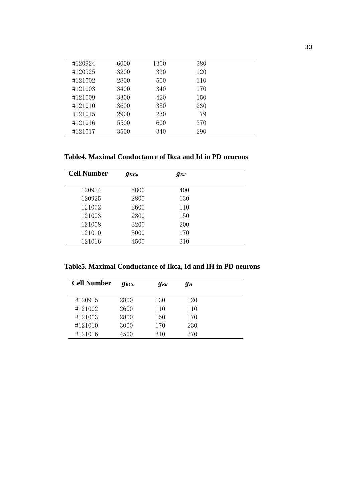| #120924 | 6000 | 1300 | 380 |  |
|---------|------|------|-----|--|
| #120925 | 3200 | 330  | 120 |  |
| #121002 | 2800 | 500  | 110 |  |
| #121003 | 3400 | 340  | 170 |  |
| #121009 | 3300 | 420  | 150 |  |
| #121010 | 3600 | 350  | 230 |  |
| #121015 | 2900 | 230  | 79  |  |
| #121016 | 5500 | 600  | 370 |  |
| #121017 | 3500 | 340  | 290 |  |
|         |      |      |     |  |

# **Table4. Maximal Conductance of Ikca and Id in PD neurons**

| <b>Cell Number</b> | $g_{KCa}$ | $g_{Kd}$ |  |
|--------------------|-----------|----------|--|
| 120924             | 5800      | 400      |  |
| 120925             | 2800      | 130      |  |
| 121002             | 2600      | 110      |  |
| 121003             | 2800      | 150      |  |
| 121008             | 3200      | 200      |  |
| 121010             | 3000      | 170      |  |
| 121016             | 4500      | 310      |  |

**Table5. Maximal Conductance of Ikca, Id and IH in PD neurons**

| <b>Cell Number</b> | $Q_{KCa}$ | $g_{Kd}$ | gн  |  |
|--------------------|-----------|----------|-----|--|
| #120925            | 2800      | 130      | 120 |  |
| #121002            | 2600      | 110      | 110 |  |
| #121003            | 2800      | 150      | 170 |  |
| #121010            | 3000      | 170      | 230 |  |
| #121016            | 4500      | 310      | 370 |  |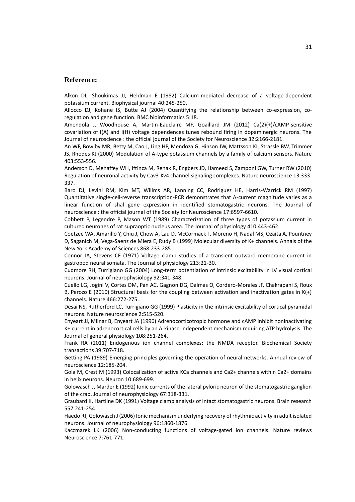#### **Reference:**

<span id="page-37-18"></span>Alkon DL, Shoukimas JJ, Heldman E (1982) Calcium-mediated decrease of a voltage-dependent potassium current. Biophysical journal 40:245-250.

<span id="page-37-9"></span>Allocco DJ, Kohane IS, Butte AJ (2004) Quantifying the relationship between co-expression, coregulation and gene function. BMC bioinformatics 5:18.

<span id="page-37-13"></span>Amendola J, Woodhouse A, Martin-Eauclaire MF, Goaillard JM (2012) Ca(2)(+)/cAMP-sensitive covariation of I(A) and I(H) voltage dependences tunes rebound firing in dopaminergic neurons. The Journal of neuroscience : the official journal of the Society for Neuroscience 32:2166-2181.

<span id="page-37-14"></span>An WF, Bowlby MR, Betty M, Cao J, Ling HP, Mendoza G, Hinson JW, Mattsson KI, Strassle BW, Trimmer JS, Rhodes KJ (2000) Modulation of A-type potassium channels by a family of calcium sensors. Nature 403:553-556.

<span id="page-37-15"></span>Anderson D, Mehaffey WH, Iftinca M, Rehak R, Engbers JD, Hameed S, Zamponi GW, Turner RW (2010) Regulation of neuronal activity by Cav3-Kv4 channel signaling complexes. Nature neuroscience 13:333- 337.

<span id="page-37-2"></span>Baro DJ, Levini RM, Kim MT, Willms AR, Lanning CC, Rodriguez HE, Harris-Warrick RM (1997) Quantitative single-cell-reverse transcription-PCR demonstrates that A-current magnitude varies as a linear function of shal gene expression in identified stomatogastric neurons. The Journal of neuroscience : the official journal of the Society for Neuroscience 17:6597-6610.

<span id="page-37-8"></span>Cobbett P, Legendre P, Mason WT (1989) Characterization of three types of potassium current in cultured neurones of rat supraoptic nucleus area. The Journal of physiology 410:443-462.

<span id="page-37-17"></span>Coetzee WA, Amarillo Y, Chiu J, Chow A, Lau D, McCormack T, Moreno H, Nadal MS, Ozaita A, Pountney D, Saganich M, Vega-Saenz de Miera E, Rudy B (1999) Molecular diversity of K+ channels. Annals of the New York Academy of Sciences 868:233-285.

<span id="page-37-7"></span>Connor JA, Stevens CF (1971) Voltage clamp studies of a transient outward membrane current in gastropod neural somata. The Journal of physiology 213:21-30.

<span id="page-37-4"></span>Cudmore RH, Turrigiano GG (2004) Long-term potentiation of intrinsic excitability in LV visual cortical neurons. Journal of neurophysiology 92:341-348.

<span id="page-37-6"></span>Cuello LG, Jogini V, Cortes DM, Pan AC, Gagnon DG, Dalmas O, Cordero-Morales JF, Chakrapani S, Roux B, Perozo E (2010) Structural basis for the coupling between activation and inactivation gates in  $K(+)$ channels. Nature 466:272-275.

<span id="page-37-3"></span>Desai NS, Rutherford LC, Turrigiano GG (1999) Plasticity in the intrinsic excitability of cortical pyramidal neurons. Nature neuroscience 2:515-520.

<span id="page-37-19"></span>Enyeart JJ, Mlinar B, Enyeart JA (1996) Adrenocorticotropic hormone and cAMP inhibit noninactivating K+ current in adrenocortical cells by an A-kinase-independent mechanism requiring ATP hydrolysis. The Journal of general physiology 108:251-264.

<span id="page-37-10"></span>Frank RA (2011) Endogenous ion channel complexes: the NMDA receptor. Biochemical Society transactions 39:707-718.

<span id="page-37-0"></span>Getting PA (1989) Emerging principles governing the operation of neural networks. Annual review of neuroscience 12:185-204.

<span id="page-37-16"></span>Gola M, Crest M (1993) Colocalization of active KCa channels and Ca2+ channels within Ca2+ domains in helix neurons. Neuron 10:689-699.

<span id="page-37-5"></span>Golowasch J, Marder E (1992) Ionic currents of the lateral pyloric neuron of the stomatogastric ganglion of the crab. Journal of neurophysiology 67:318-331.

<span id="page-37-1"></span>Graubard K, Hartline DK (1991) Voltage clamp analysis of intact stomatogastric neurons. Brain research 557:241-254.

<span id="page-37-12"></span>Haedo RJ, Golowasch J (2006) Ionic mechanism underlying recovery of rhythmic activity in adult isolated neurons. Journal of neurophysiology 96:1860-1876.

<span id="page-37-11"></span>Kaczmarek LK (2006) Non-conducting functions of voltage-gated ion channels. Nature reviews Neuroscience 7:761-771.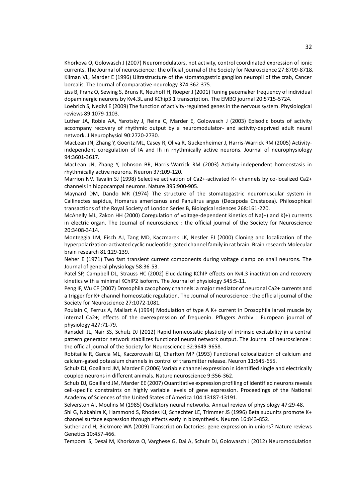<span id="page-38-6"></span><span id="page-38-1"></span>Khorkova O, Golowasch J (2007) Neuromodulators, not activity, control coordinated expression of ionic currents. The Journal of neuroscience : the official journal of the Society for Neuroscience 27:8709-8718. Kilman VL, Marder E (1996) Ultrastructure of the stomatogastric ganglion neuropil of the crab, Cancer borealis. The Journal of comparative neurology 374:362-375.

<span id="page-38-16"></span>Liss B, Franz O, Sewing S, Bruns R, Neuhoff H, Roeper J (2001) Tuning pacemaker frequency of individual dopaminergic neurons by Kv4.3L and KChip3.1 transcription. The EMBO journal 20:5715-5724.

<span id="page-38-8"></span>Loebrich S, Nedivi E (2009) The function of activity-regulated genes in the nervous system. Physiological reviews 89:1079-1103.

<span id="page-38-3"></span>Luther JA, Robie AA, Yarotsky J, Reina C, Marder E, Golowasch J (2003) Episodic bouts of activity accompany recovery of rhythmic output by a neuromodulator- and activity-deprived adult neural network. J Neurophysiol 90:2720-2730.

<span id="page-38-9"></span>MacLean JN, Zhang Y, Goeritz ML, Casey R, Oliva R, Guckenheimer J, Harris-Warrick RM (2005) Activityindependent coregulation of IA and Ih in rhythmically active neurons. Journal of neurophysiology 94:3601-3617.

<span id="page-38-5"></span>MacLean JN, Zhang Y, Johnson BR, Harris-Warrick RM (2003) Activity-independent homeostasis in rhythmically active neurons. Neuron 37:109-120.

<span id="page-38-20"></span>Marrion NV, Tavalin SJ (1998) Selective activation of Ca2+-activated K+ channels by co-localized Ca2+ channels in hippocampal neurons. Nature 395:900-905.

<span id="page-38-0"></span>Maynard DM, Dando MR (1974) The structure of the stomatogastric neuromuscular system in Callinectes sapidus, Homarus americanus and Panulirus argus (Decapoda Crustacea). Philosophical transactions of the Royal Society of London Series B, Biological sciences 268:161-220.

<span id="page-38-4"></span>McAnelly ML, Zakon HH (2000) Coregulation of voltage-dependent kinetics of Na(+) and K(+) currents in electric organ. The Journal of neuroscience : the official journal of the Society for Neuroscience 20:3408-3414.

<span id="page-38-18"></span>Monteggia LM, Eisch AJ, Tang MD, Kaczmarek LK, Nestler EJ (2000) Cloning and localization of the hyperpolarization-activated cyclic nucleotide-gated channel family in rat brain. Brain research Molecular brain research 81:129-139.

<span id="page-38-12"></span>Neher E (1971) Two fast transient current components during voltage clamp on snail neurons. The Journal of general physiology 58:36-53.

<span id="page-38-17"></span>Patel SP, Campbell DL, Strauss HC (2002) Elucidating KChIP effects on Kv4.3 inactivation and recovery kinetics with a minimal KChIP2 isoform. The Journal of physiology 545:5-11.

<span id="page-38-22"></span>Peng IF, Wu CF (2007) Drosophila cacophony channels: a major mediator of neuronal Ca2+ currents and a trigger for K+ channel homeostatic regulation. The Journal of neuroscience : the official journal of the Society for Neuroscience 27:1072-1081.

<span id="page-38-21"></span>Poulain C, Ferrus A, Mallart A (1994) Modulation of type A K+ current in Drosophila larval muscle by internal Ca2+; effects of the overexpression of frequenin. Pflugers Archiv : European journal of physiology 427:71-79.

<span id="page-38-13"></span>Ransdell JL, Nair SS, Schulz DJ (2012) Rapid homeostatic plasticity of intrinsic excitability in a central pattern generator network stabilizes functional neural network output. The Journal of neuroscience : the official journal of the Society for Neuroscience 32:9649-9658.

<span id="page-38-19"></span>Robitaille R, Garcia ML, Kaczorowski GJ, Charlton MP (1993) Functional colocalization of calcium and calcium-gated potassium channels in control of transmitter release. Neuron 11:645-655.

<span id="page-38-10"></span>Schulz DJ, Goaillard JM, Marder E (2006) Variable channel expression in identified single and electrically coupled neurons in different animals. Nature neuroscience 9:356-362.

<span id="page-38-11"></span>Schulz DJ, Goaillard JM, Marder EE (2007) Quantitative expression profiling of identified neurons reveals cell-specific constraints on highly variable levels of gene expression. Proceedings of the National Academy of Sciences of the United States of America 104:13187-13191.

<span id="page-38-2"></span>Selverston AI, Moulins M (1985) Oscillatory neural networks. Annual review of physiology 47:29-48.

<span id="page-38-15"></span>Shi G, Nakahira K, Hammond S, Rhodes KJ, Schechter LE, Trimmer JS (1996) Beta subunits promote K+ channel surface expression through effects early in biosynthesis. Neuron 16:843-852.

<span id="page-38-14"></span>Sutherland H, Bickmore WA (2009) Transcription factories: gene expression in unions? Nature reviews Genetics 10:457-466.

<span id="page-38-7"></span>Temporal S, Desai M, Khorkova O, Varghese G, Dai A, Schulz DJ, Golowasch J (2012) Neuromodulation